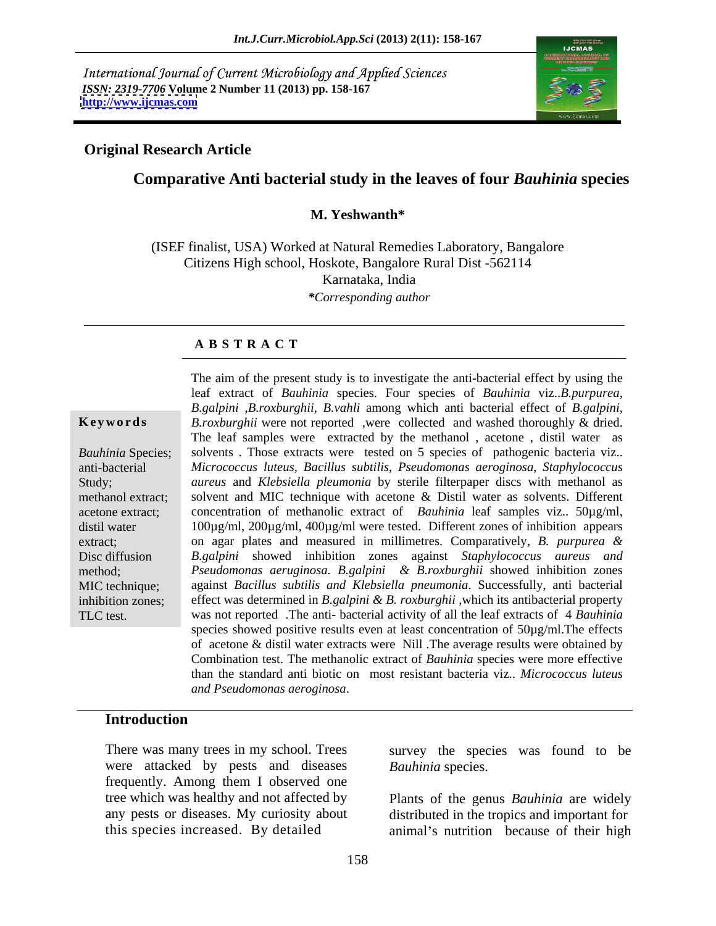International Journal of Current Microbiology and Applied Sciences *ISSN: 2319-7706* **Volume 2 Number 11 (2013) pp. 158-167 <http://www.ijcmas.com>**



## **Original Research Article**

## **Comparative Anti bacterial study in the leaves of four** *Bauhinia* **species**

## **M. Yeshwanth\***

(ISEF finalist, USA) Worked at Natural Remedies Laboratory, Bangalore Citizens High school, Hoskote, Bangalore Rural Dist -562114 Karnataka, India *\*Corresponding author*

## **A B S T R A C T**

**Keywords** B.roxburghii were not reported, were collected and washed thoroughly & dried. Bauhinia Species; solvents. Those extracts were tested on 5 species of pathogenic bacteria viz.. anti-bacterial *Micrococcus luteus, Bacillus subtilis, Pseudomonas aeroginosa, Staphylococcus* Study; *aureus* and *Klebsiella pleumonia* by sterile filterpaper discs with methanol as methanol extract; solvent and MIC technique with acetone & Distil water as solvents. Different acetone extract; concentration of methanolic extract of *Bauhinia* leaf samples viz.. 50µg/ml, distil water 100µg/ml, 200µg/ml, 400µg/ml were tested. Different zones of inhibition appears extract; on agar plates and measured in millimetres. Comparatively, *B. purpurea &* Disc diffusion *B.galpini* showed inhibition zones against *Staphylococcus aureus and*  method; *Pseudomonas aeruginosa. B.galpini & B.roxburghii* showed inhibition zones MIC technique; against *Bacillus subtilis and Klebsiella pneumonia*. Successfully, anti bacterial inhibition zones; effect was determined in *B.galpini & B. roxburghii ,*which its antibacterial property TLC test. was not reported .The anti- bacterial activity of all the leaf extracts of 4 *Bauhinia*  The aim of the present study is to investigate the anti-bacterial effect by using the leaf extract of *Bauhinia* species. Four species of *Bauhinia* viz..*B.purpurea, B.galpini ,B.roxburghii, B.vahli* among which anti bacterial effect of *B.galpini,* The leaf samples were extracted by the methanol , acetone , distil water as species showed positive results even at least concentration of  $50\mu g/ml$ . The effects of acetone & distil water extracts were Nill .The average results were obtained by Combination test. The methanolic extract of *Bauhinia* species were more effective than the standard anti biotic on most resistant bacteria viz.. *Micrococcus luteus and Pseudomonas aeroginosa*.

## **Introduction**

There was many trees in my school. Trees survey the species was found to be were attacked by pests and diseases frequently. Among them I observed one tree which was healthy and not affected by

*Bauhinia* species.

any pests or diseases. My curiosity about distributed in the tropics and important for this species increased. By detailed animal's nutrition because of their high Plants of the genus *Bauhinia* are widely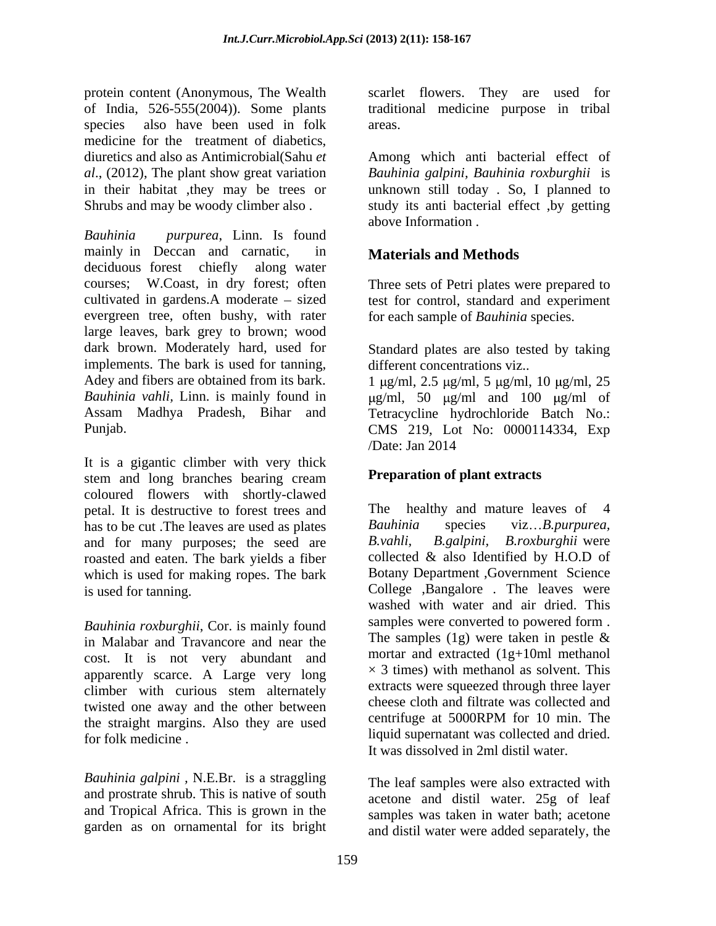protein content (Anonymous, The Wealth scarlet flowers. They are used for of India, 526-555(2004)). Some plants traditional medicine purpose in tribal species also have been used in folk areas. medicine for the treatment of diabetics, diuretics and also as Antimicrobial(Sahu *et*  Among which anti bacterial effect of *al*., (2012), The plant show great variation *Bauhinia galpini, Bauhinia roxburghii* is in their habitat ,they may be trees or unknown still today . So, I planned to

*Bauhinia purpurea*, Linn. Is found mainly in Deccan and carnatic, in deciduous forest chiefly along water courses; W.Coast, in dry forest; often cultivated in gardens.A moderate – sized test for control, standard and experiment evergreen tree, often bushy, with rater large leaves, bark grey to brown; wood<br>dark brown. Moderately hard, used for dark brown. Moderately hard, used for Standard plates are also tested by taking implements. The bark is used for tanning, Adey and fibers are obtained from its bark.  $1 \mu g/ml$ ,  $2.5 \mu g/ml$ ,  $5 \mu g/ml$ ,  $10 \mu g/ml$ ,  $25 \mu g/ml$ Bauhinia vahli, Linn. is mainly found in  $\mu$ g/ml, 50  $\mu$ g/ml and 100  $\mu$ g/ml of Assam Madhya Pradesh, Bihar and Tetracycline hydrochloride Batch No.:

It is a gigantic climber with very thick stem and long branches bearing cream coloured flowers with shortly-clawed petal. It is destructive to forest trees and has to be cut .The leaves are used as plates <br>
has to be cut .The leaves are are <br>  $B. vahli$ ,  $B. galpini$ ,  $B. roxburghii$  were and for many purposes; the seed are roasted and eaten. The bark yields a fiber which is used for making ropes. The bark

in Malabar and Travancore and near the cost. It is not very abundant and apparently scarce. A Large very long climber with curious stem alternately twisted one away and the other between<br>the straight margins. Also they are used centrifuge at 5000RPM for 10 min. The the straight margins. Also they are used for folk medicine . The liquid supernatant was collected and dried.

*Bauhinia galpini ,* N.E.Br. is a straggling and prostrate shrub. This is native of south and Tropical Africa. This is grown in the garden as on ornamental for its bright areas.

Shrubs and may be woody climber also . study its anti bacterial effect ,by getting above Information .

## **Materials and Methods**

Three sets of Petri plates were prepared to for each sample of *Bauhinia* species.

different concentrations viz..

Punjab. CMS 219, Lot No: 0000114334, Exp /Date: Jan 2014

## **Preparation of plant extracts**

is used for tanning. College ,Bangalore . The leaves were *Bauhinia roxburghii*, Cor. is mainly found<br>in Malabar and Trayancore and near the The samples (1g) were taken in pestle & healthy and mature leaves of 4 *Bauhinia* species viz *B.purpurea, B.vahli, B.galpini, B.roxburghii* were collected & also Identified by H.O.D of Botany Department ,Government Science washed with water and air dried. This samples were converted to powered form . The samples  $(1g)$  were taken in pestle  $\&$ mortar and extracted (1g+10ml methanol  $\times$  3 times) with methanol as solvent. This extracts were squeezed through three layer cheese cloth and filtrate was collected and centrifuge at 5000RPM for 10 min. The It was dissolved in 2ml distil water.

> The leaf samples were also extracted with acetone and distil water. 25g of leaf samples was taken in water bath; acetone and distil water were added separately, the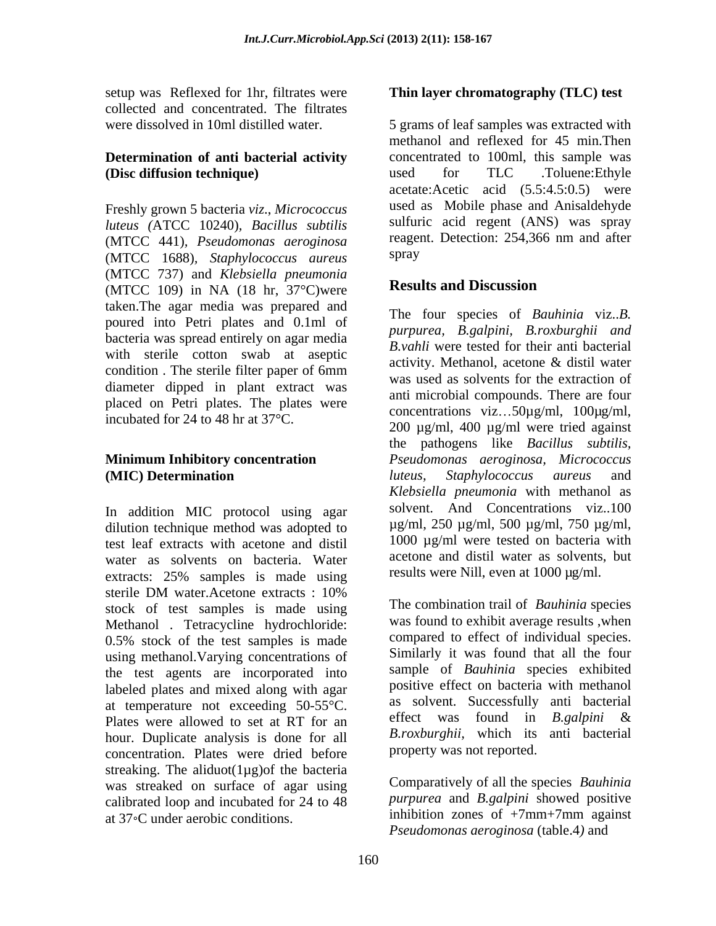setup was Reflexed for 1hr, filtrates were collected and concentrated. The filtrates

# **Determination of anti bacterial activity**

Freshly grown 5 bacteria *viz*., *Micrococcus luteus* (ATCC 10240)*, Bacillus subtilis* sulfuric acid regent (ANS) was spray<br>(MTCC 441) *Pseudomonas agroginosa* reagent. Detection: 254,366 nm and after (MTCC 441)*, Pseudomonas aeroginosa* (MTCC 1688)*, Staphylococcus aureus* (MTCC 737) and *Klebsiella pneumonia* (MTCC 109) in NA (18 hr, 37°C)were taken.The agar media was prepared and poured into Petri plates and 0.1ml of bacteria was spread entirely on agar media with sterile cotton swab at aseptic<br>activity. Methanol. acetone & distil water diameter dipped in plant extract was placed on Petri plates. The plates were incubated for 24 to 48 hr at 37°C.

In addition MIC protocol using agar dilution technique method was adopted to test leaf extracts with acetone and distil water as solvents on bacteria. Water extracts: 25% samples is made using sterile DM water.Acetone extracts : 10% stock of test samples is made using Methanol . Tetracycline hydrochloride: 0.5% stock of the test samples is made using methanol.Varying concentrations of the test agents are incorporated into labeled plates and mixed along with agar at temperature not exceeding  $50-55^{\circ}$ C. as solvent. Successfully anti-bacterial<br>plates were allowed to set at RT for an effect was found in *B.galpini &* Plates were allowed to set at RT for an hour. Duplicate analysis is done for all concentration. Plates were dried before streaking. The aliduot $(1\mu g)$  of the bacteria was streaked on surface of agar using calibrated loop and incubated for 24 to 48 at 37 °C under aerobic conditions.

## **Thin layer chromatography (TLC) test**

were dissolved in 10ml distilled water. 5 grams of leaf samples was extracted with **(Disc diffusion technique)** used for TLC .Toluene:Ethyle methanol and reflexed for 45 min.Then concentrated to 100ml, this sample was used for TLC .Toluene:Ethyle acetate:Acetic acid (5.5:4.5:0.5) were used as Mobile phase and Anisaldehyde sulfuric acid regent (ANS) was spray reagent. Detection: 254,366 nm and after spray and the set of the set of the set of the set of the set of the set of the set of the set of the set of the set of the set of the set of the set of the set of the set of the set of the set of the set of the set of the

# **Results and Discussion**

condition. The sterile filter paper of 6mm  $\frac{acavity}{2}$  is not account for the extraction of **Minimum Inhibitory concentration**  *Pseudomonas aeroginosa, Micrococcus* **(MIC) Determination** *luteus, Staphylococcus aureus* and The four species of *Bauhinia* viz..*B. purpurea, B.galpini, B.roxburghii and B.vahli* were tested for their anti bacterial activity. Methanol, acetone & distil water was used as solvents for the extraction of anti microbial compounds. There are four concentrations viz... $50\mu\text{g/ml}$ ,  $100\mu\text{g/ml}$ , 200 µg/ml, 400 µg/ml were tried against the pathogens like *Bacillus subtilis, luteus, Staphylococcus aureus* and *Klebsiella pneumonia* with methanol as solvent. And Concentrations viz..100 µg/ml, 250 µg/ml, 500 µg/ml, 750 µg/ml, 1000 µg/ml were tested on bacteria with acetone and distil water as solvents, but results were Nill, even at 1000 µg/ml.

> The combination trail of *Bauhinia* species was found to exhibit average results ,when compared to effect of individual species. Similarly it was found that all the four sample of *Bauhinia* species exhibited positive effect on bacteria with methanol as solvent. Successfully anti bacterial effect was found in *B.galpini* & *B.roxburghii,* which its anti bacterial property was not reported.

Comparatively of all the species *Bauhinia purpurea* and *B.galpini* showed positive inhibition zones of +7mm+7mm against *Pseudomonas aeroginosa* (table.4*)* and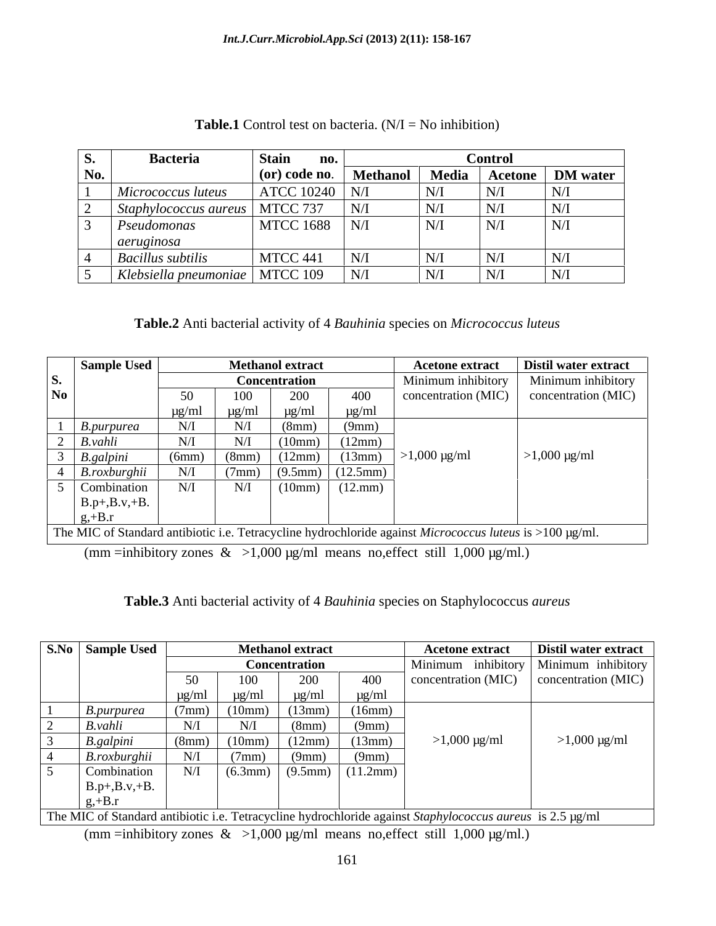| ◡.  | <b>Bacteria</b>                  | <b>Stain</b><br>no.    |                 |           | Control               |                 |
|-----|----------------------------------|------------------------|-----------------|-----------|-----------------------|-----------------|
| No. |                                  | $\alpha$ (or) code no. | <b>Methanol</b> | Media     | Acetone               | <b>DM</b> water |
|     | Micrococcus luteus               | <b>ATCC 10240</b>      |                 | N/I       | $\cdot$ N $^{\prime}$ | N/              |
|     | Staphylococcus aureus            | MTCC 737               | N/I             | N/I       | N/                    | N/1             |
|     | Pseudomonas                      | <b>MTCC 1688</b>       | N/I             | N/I       | N/                    | N/I             |
|     | aeruginosa                       |                        |                 |           |                       |                 |
|     | <b>Bacillus subtilis</b>         | MTCC 441               | $\mathbf{V}$ .  | $\rm N/I$ | $\mathbf{N}^r$        | N/              |
|     | Klebsiella pneumoniae   MTCC 109 |                        | N/I             | N/I       | $N^{\prime}$          | N/I             |

## **Table.1** Control test on bacteria.  $(N/I = No$  inhibition)

| Table.2 Anti bacterial activity of 4 Bauhinia species on Micrococcus luteus |  |
|-----------------------------------------------------------------------------|--|
|                                                                             |  |

|                | Sample Used     |            |            | <b>Methanol extract</b> |                                      | <b>Acetone extract</b>                                                                                   | Distil water extract            |
|----------------|-----------------|------------|------------|-------------------------|--------------------------------------|----------------------------------------------------------------------------------------------------------|---------------------------------|
| S.             |                 |            |            | <b>Concentration</b>    |                                      | Minimum inhibitory                                                                                       | Minimum inhibitory              |
| N <sub>o</sub> |                 |            | 100-       | 200                     | 400                                  | concentration (MIC)                                                                                      | concentration (MIC)             |
|                |                 | $\mu$ g/ml | $\mu$ g/ml | $\mu$ g/ml              | µg/ml                                |                                                                                                          |                                 |
|                | B.purpurea      | N/I        | N/         | (8mm)                   | (9mm)                                |                                                                                                          |                                 |
|                | B.vahli         | N/         | N/I        | (10mm)                  | (12mm)                               |                                                                                                          |                                 |
|                | B.galpini       | (6mm)      | (8mm)      | (12mm)                  | (13mm)                               | $>1,000 \mu g/ml$                                                                                        | $>1,000 \text{ }\mu\text{g/ml}$ |
|                | B.roxburghii    | N/         | ('mm)      |                         | $(9.5 \text{mm})$ $(12.5 \text{mm})$ |                                                                                                          |                                 |
|                | Combination     | N/         | N/         | (10mm)                  | (12.mm)                              |                                                                                                          |                                 |
|                | $B.p+, B.v.+B.$ |            |            |                         |                                      |                                                                                                          |                                 |
|                | $g,+B.r$        |            |            |                         |                                      |                                                                                                          |                                 |
|                |                 |            |            |                         |                                      | The MIC of Standard antibiotic i.e. Tetracycline hydrochloride against Micrococcus luteus is >100 µg/ml. |                                 |

(mm =inhibitory zones  $\&$  >1,000 µg/ml means no, effect still 1,000 µg/ml.)

## **Table.3** Anti bacterial activity of 4 *Bauhinia* species on Staphylococcus *aureus*

| S.No Sample Used                                                                                          |                                 |                 | <b>Methanol extract</b> |                                | <b>Acetone extract</b>          | <b>Distil water extract</b>                             |
|-----------------------------------------------------------------------------------------------------------|---------------------------------|-----------------|-------------------------|--------------------------------|---------------------------------|---------------------------------------------------------|
|                                                                                                           |                                 |                 | <b>Concentration</b>    |                                |                                 | Minimum inhibitory Minimum inhibitory                   |
|                                                                                                           |                                 | 100             | 200                     | 400                            |                                 | $\vert$ concentration (MIC) $\vert$ concentration (MIC) |
|                                                                                                           | $\mu$ g/ml                      | $\mu$ g/ml      | $\mu$ g/ml              | $\mu$ g/ml                     |                                 |                                                         |
| B.purpurea                                                                                                |                                 | (10mm)          | (13mm)                  | (16mm)                         |                                 |                                                         |
| $B.$ <i>vahli</i>                                                                                         |                                 | N/I             | (8mm)                   | (9mm)                          |                                 |                                                         |
| <u>B.galpini</u>                                                                                          | (8mm)                           | (10mm)          | (12mm)                  | (13mm)                         | $>1,000 \text{ }\mu\text{g/ml}$ | $>1,000 \mu g/ml$                                       |
| <i>B.roxburghii</i>                                                                                       |                                 | $(7 \text{mm})$ | (9mm)                   | (9mm)                          |                                 |                                                         |
| Combination                                                                                               | $\mathbf{N}/\mathbf{I}$<br>TA\T |                 |                         | $(6.3mm)$ $(9.5mm)$ $(11.2mm)$ |                                 |                                                         |
| $B.p+, B.v.+B.$                                                                                           |                                 |                 |                         |                                |                                 |                                                         |
|                                                                                                           |                                 |                 |                         |                                |                                 |                                                         |
| The MIC of Standard antibiotic i.e. Tetracycline hydrochloride against Staphylococcus aureus is 2.5 µg/ml |                                 |                 |                         |                                |                                 |                                                         |

(mm =inhibitory zones  $\&$  >1,000 µg/ml means no, effect still 1,000 µg/ml.)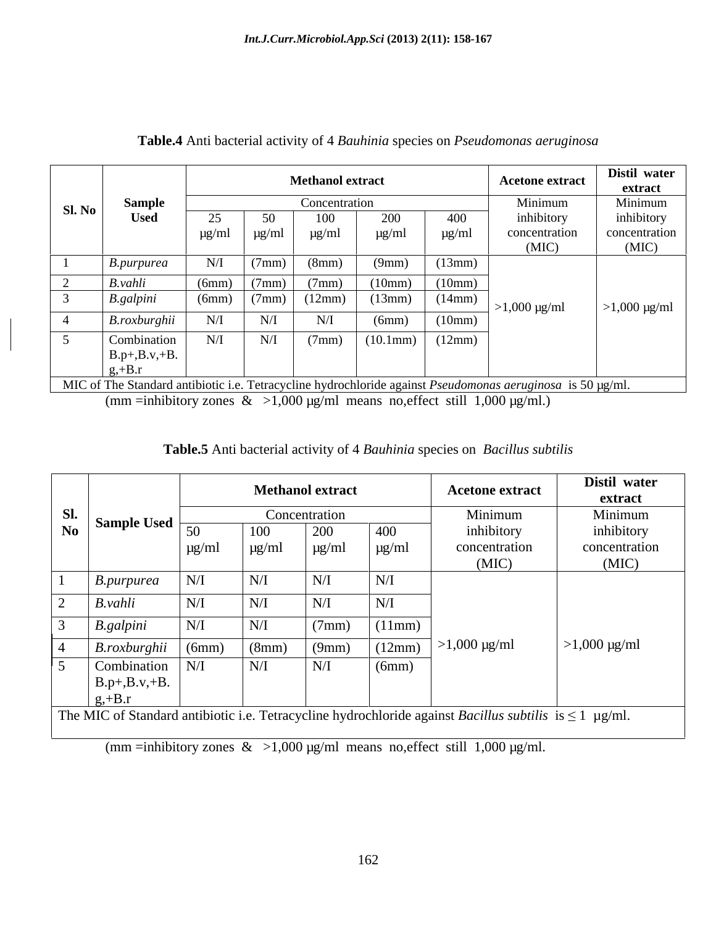|        |                 |            |                 | <b>Methanol extract</b> |            |            | <b>Acetone extract</b>                                                                                                 | Distil water<br>extract         |
|--------|-----------------|------------|-----------------|-------------------------|------------|------------|------------------------------------------------------------------------------------------------------------------------|---------------------------------|
| SI. No | <b>Sample</b>   |            |                 | Concentration           |            |            | Minimum                                                                                                                | Minimum                         |
|        | <b>Used</b>     | 25         | 50              | 100                     | 200        | 400        | inhibitory                                                                                                             | inhibitory                      |
|        |                 | $\mu$ g/ml | $\mu$ g/ml      | $\mu$ g/ml              | $\mu$ g/ml | $\mu$ g/ml | concentration                                                                                                          | concentration                   |
|        |                 |            |                 |                         |            |            | (MIC)                                                                                                                  | (MIC)                           |
|        | B.purpurea      | N/I        | (7mm)           | (8mm)                   | (9mm)      | (13mm)     |                                                                                                                        |                                 |
|        | B.vahli         | (6mm)      | $(7 \text{mm})$ | (7mm)                   | (10mm)     | (10mm)     |                                                                                                                        |                                 |
|        | B.galpini       | (6mm)      | (7mm)           | (12mm)                  | (13mm)     | (14mm)     | $>1,000 \ \mu g/ml$                                                                                                    | $>1,000 \text{ }\mu\text{g/ml}$ |
| 4      | B.roxburghii    | N/I        | N/I             | N/I                     | (6mm)      | (10mm)     |                                                                                                                        |                                 |
|        | Combination     | N/I        | N/I             | (7mm)                   | (10.1mm)   | (12mm)     |                                                                                                                        |                                 |
|        | $B.p+, B.v.+B.$ |            |                 |                         |            |            |                                                                                                                        |                                 |
|        | $g,+B.r$        |            |                 |                         |            |            |                                                                                                                        |                                 |
|        |                 |            |                 |                         |            |            | MIC of The Standard antibiotic i.e. Tetracycline hydrochloride against <i>Pseudomonas aeruginosa</i> is 50 $\mu$ g/ml. |                                 |

## **Table.4** Anti bacterial activity of 4 *Bauhinia* species on *Pseudomonas aeruginosa*

(mm =inhibitory zones  $\&$  >1,000 µg/ml means no, effect still 1,000 µg/ml.)

| <b>Table.5</b> Anti bacterial activity of 4 Bauhinia species on Bacillus subtilis |  |
|-----------------------------------------------------------------------------------|--|
|                                                                                   |  |

|                |                    |                                                      | <b>Methanol extract</b> |               |            | <b>Acetone extract</b>                                                                                             | Distil water<br>extract         |
|----------------|--------------------|------------------------------------------------------|-------------------------|---------------|------------|--------------------------------------------------------------------------------------------------------------------|---------------------------------|
| Sl.            | Sample Used $\mid$ |                                                      |                         | Concentration |            | Minimum                                                                                                            | Minimum                         |
| N <sub>0</sub> |                    | 50                                                   | 100                     | 200           | 400        | inhibitory                                                                                                         | inhibitory                      |
|                |                    | $\mu$ g/ml                                           | $\mu$ g/ml              | $\mu g/ml$    | $\mu$ g/ml | concentration                                                                                                      | concentration                   |
|                |                    |                                                      |                         |               |            | (MIC)                                                                                                              | (MIC)                           |
|                | B.purpurea         | N/I                                                  | N/I                     | N/I           | N/I        |                                                                                                                    |                                 |
|                | B.vahli            | N/I                                                  | N/J                     | N/I           | N/I        |                                                                                                                    |                                 |
|                |                    |                                                      |                         |               |            |                                                                                                                    |                                 |
|                | <b>B.galpini</b>   | $\ensuremath{\text{N}}\xspace/\ensuremath{\text{I}}$ | N/I                     | (7mm)         | (11mm)     |                                                                                                                    |                                 |
|                | B.roxburghii       | (6mm)                                                | (8mm)                   | (9mm)         | (12mm)     | $>1,000 \mu g/ml$                                                                                                  | $>1,000 \text{ }\mu\text{g/ml}$ |
|                | Combination        | N/I                                                  | N/I                     | N/I           | (6mm)      |                                                                                                                    |                                 |
|                | $B.p+, B.v.+B.$    |                                                      |                         |               |            |                                                                                                                    |                                 |
|                | $g,+B.r$           |                                                      |                         |               |            |                                                                                                                    |                                 |
|                |                    |                                                      |                         |               |            | The MIC of Standard antibiotic i.e. Tetracycline hydrochloride against <i>Bacillus subtilis</i> is $\leq 1$ µg/ml. |                                 |

(mm =inhibitory zones  $\&$  >1,000 µg/ml means no, effect still 1,000 µg/ml.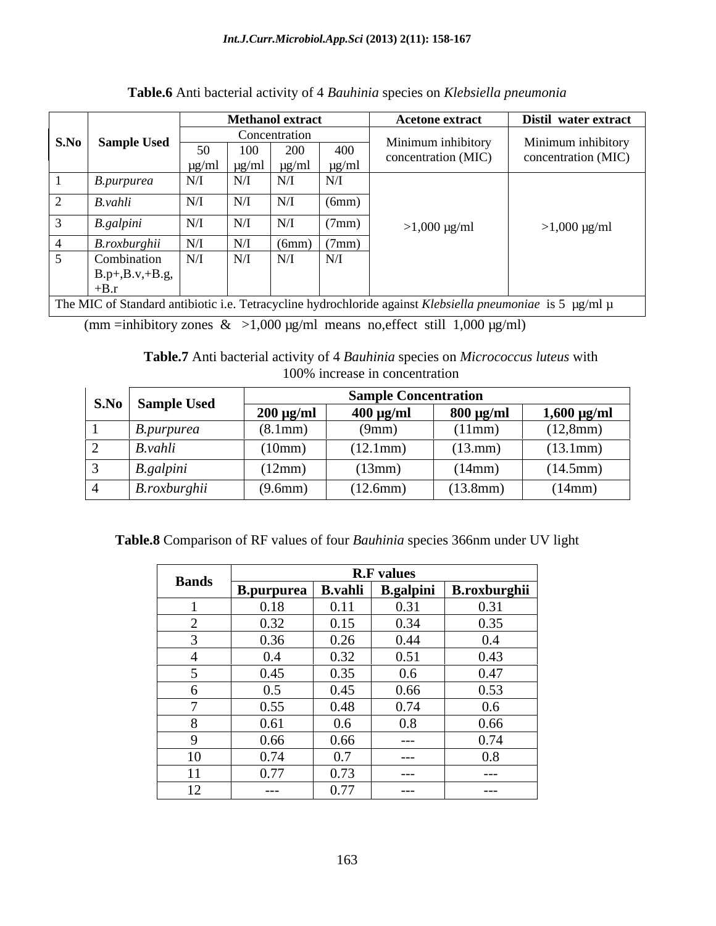|                           |                    |                     | <b>Methanol extract</b>                                                               |                   | <b>Acetone extract</b>         |                                                                                                           | Distil water extract  |
|---------------------------|--------------------|---------------------|---------------------------------------------------------------------------------------|-------------------|--------------------------------|-----------------------------------------------------------------------------------------------------------|-----------------------|
| S.No                      | <b>Sample Used</b> |                     | Concentration                                                                         |                   | Minimum inhibitory             |                                                                                                           | Minimum inhibitory    |
|                           |                    | 50                  | 200<br>100                                                                            | 400               | concentration (MIC)            |                                                                                                           | concentration (MIC)   |
|                           | B.purpurea         | $\mu$ g/ml<br>N/I   | $\mu$ g/ml<br>$\mu$ g/ml<br>N/I<br>N/I                                                | $\mu$ g/ml<br>N/I |                                |                                                                                                           |                       |
|                           |                    |                     |                                                                                       |                   |                                |                                                                                                           |                       |
| $\overline{2}$<br>B.vahli |                    | N/I                 | N/I<br>N/I                                                                            | (6mm)             |                                |                                                                                                           |                       |
| 3                         | B.galpini          | N/I                 | N/I<br>N/I                                                                            | (7mm)             | $>1,000 \mu g/ml$              |                                                                                                           | $>1,000 \mu g/ml$     |
|                           | B.roxburghii       | N/I                 | N/I<br>(6mm)                                                                          | (7mm)             |                                |                                                                                                           |                       |
| $5^{\circ}$               | Combination        | N/I                 | N/I<br>N/I                                                                            | N/I               |                                |                                                                                                           |                       |
| $+B.r$                    | $B.p+, B.v.+B.g,$  |                     |                                                                                       |                   |                                |                                                                                                           |                       |
|                           |                    |                     |                                                                                       |                   |                                | The MIC of Standard antibiotic i.e. Tetracycline hydrochloride against Klebsiella pneumoniae is 5 µg/ml µ |                       |
|                           |                    |                     | (mm =inhibitory zones $\&$ >1,000 $\mu$ g/ml means no, effect still 1,000 $\mu$ g/ml) |                   |                                |                                                                                                           |                       |
|                           |                    |                     |                                                                                       |                   |                                |                                                                                                           |                       |
|                           |                    |                     |                                                                                       |                   |                                | Table.7 Anti bacterial activity of 4 Bauhinia species on Micrococcus luteus with                          |                       |
|                           |                    |                     |                                                                                       |                   | 100% increase in concentration |                                                                                                           |                       |
|                           |                    |                     |                                                                                       |                   | <b>Sample Concentration</b>    |                                                                                                           |                       |
| S.No                      | <b>Sample Used</b> |                     | $200 \mu g/ml$                                                                        |                   | $400 \mu g/ml$                 | $800 \mu g/ml$                                                                                            | $1,600 \text{ µg/ml}$ |
|                           | B.purpurea         |                     | (8.1mm)                                                                               |                   | (9mm)                          | (11mm)                                                                                                    | (12,8mm)              |
|                           | B.vahli            |                     | (10mm)                                                                                |                   | (12.1mm)                       | (13.mm)                                                                                                   | (13.1mm)              |
|                           | B.galpini          |                     | (12mm)                                                                                |                   | (13mm)                         | (14mm)                                                                                                    | (14.5mm)              |
|                           | B.roxburghii       |                     | (9.6mm)                                                                               |                   | (12.6mm)                       | (13.8mm)                                                                                                  | (14mm)                |
|                           |                    |                     |                                                                                       |                   |                                |                                                                                                           |                       |
|                           |                    |                     |                                                                                       |                   |                                |                                                                                                           |                       |
|                           |                    |                     |                                                                                       |                   |                                | Table.8 Comparison of RF values of four Bauhinia species 366nm under UV light                             |                       |
|                           |                    |                     |                                                                                       |                   |                                |                                                                                                           |                       |
|                           |                    | <b>Bands</b>        |                                                                                       |                   | <b>R.F</b> values              |                                                                                                           |                       |
|                           |                    |                     |                                                                                       |                   |                                | B.purpurea   B.vahli   B.galpini   B.roxburghii                                                           |                       |
|                           |                    |                     | 0.18                                                                                  | 0.11              | 0.31                           | 0.31                                                                                                      |                       |
|                           |                    | 2                   | 0.32                                                                                  | 0.15              | 0.34                           | 0.35                                                                                                      |                       |
|                           |                    | 3<br>$\overline{4}$ | 0.36                                                                                  | 0.26              | 0.44                           | $0.4\,$                                                                                                   |                       |
|                           |                    | $5\overline{)}$     | 0.4<br>0.45                                                                           | 0.32<br>0.35      | 0.51<br>$0.6\,$                | 0.43<br>0.47                                                                                              |                       |
|                           |                    | 6                   | 0.5                                                                                   | 0.45              | 0.66                           | 0.53                                                                                                      |                       |
|                           |                    | $\overline{7}$      | 0.55                                                                                  | 0.48              | 0.74                           | $0.6\,$                                                                                                   |                       |
|                           |                    | 8                   | 0.61                                                                                  | $0.6\,$           | $0.8\,$                        | 0.66                                                                                                      |                       |
|                           |                    | 9                   | 0.66                                                                                  | 0.66              | $---$                          | 0.74                                                                                                      |                       |
|                           |                    | 10                  | 0.74                                                                                  | 0.7               | $---$                          | $0.8\,$                                                                                                   |                       |
|                           |                    | 11                  | 0.77                                                                                  | 0.73              | $---$                          | $---$                                                                                                     |                       |
|                           |                    | 12                  | $---$                                                                                 | 0.77              | $---$                          | $-- \_$                                                                                                   |                       |

| Table.6 Anti bacterial activity of 4 Bauhinia species of<br>cies on Klebsiella pneumonia |  |
|------------------------------------------------------------------------------------------|--|
|                                                                                          |  |

|                    |                | <b>Sample Concentration</b> |                |                       |
|--------------------|----------------|-----------------------------|----------------|-----------------------|
| S.No   Sample Used | $200 \mu g/ml$ | $400 \mu g/ml$              | $800 \mu g/ml$ | $1,600 \text{ µg/ml}$ |
| B.purpurea         | 8.1mm)         | (9mm)                       | (11mm)         | (12,8mm)              |
| B.vahli            | (10mm)         | 12.1mm)                     | $(13.$ mm      | (13.1mm)              |
| <i>B.galpini</i>   | (12mm)         | (13mm)                      | (14mm)         | (14.5mm)              |
| B.roxburghii       | $(9.6$ mm      | (12.6mm)                    | (13.8mm)       | (14mm)                |

|              |                      |      | <b>R.F</b> values |              |
|--------------|----------------------|------|-------------------|--------------|
| <b>Bands</b> | B.purpurea   B.vahli |      | <b>B.galpini</b>  | B.roxburghii |
|              | 0.18                 | 0.11 | 0.31              | 0.31         |
|              | 0.32                 | 0.15 | 0.34              | 0.35         |
|              | 0.36                 | 0.26 | 0.44              | 0.4          |
|              | $0.4\,$              | 0.32 | 0.51              | 0.43         |
|              | 0.45                 | 0.35 | $0.6\,$           | 0.47         |
|              | 0.5                  | 0.45 | 0.66              | 0.53         |
|              | 0.55                 | 0.48 | 0.74              | $0.6\,$      |
|              | 0.61                 | 0.6  | 0.8               | 0.66         |
|              | 0.66                 | 0.66 | $---$             | 0.74         |
| 10           | 0.74                 | 0.7  | $---$             | 0.8          |
|              | 0.77                 | 0.73 | $---$             | $---$        |
| 12           | $---$                | 0.77 | $---$             | $---$        |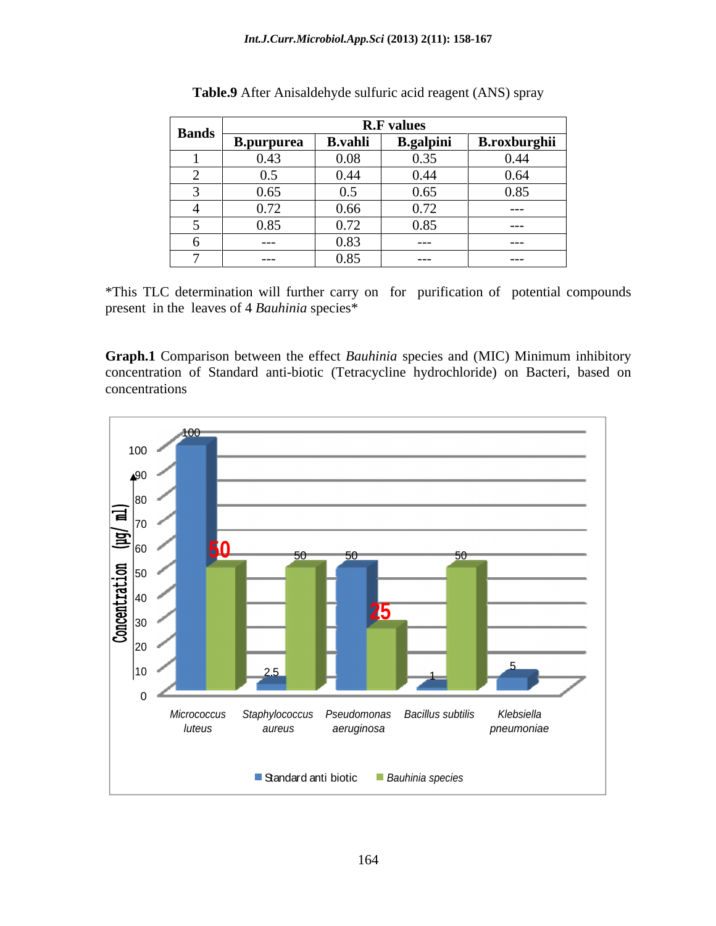| <b>Bands</b> |                   |                | <b>R.F</b> values |                     |
|--------------|-------------------|----------------|-------------------|---------------------|
|              | <b>B.purpurea</b> | <b>B.vahli</b> | <b>B.galpini</b>  | <b>B.roxburghii</b> |
|              | 0.43              | 0.08           | 0.35              | 0.44                |
|              | 0.5               | 0.44           | 0.44              | 0.64                |
|              | 0.65              | 0.5            | 0.65              | 0.85                |
|              | 0.72              | 0.66           | 0.72              | $---$               |
|              | 0.85              | 0.72           | 0.85              | $---$               |
|              | ____              | 0.83           | $---$             | $---$               |
|              | ____              | 0.85           | ----              | ____                |

| cid reagent (ANS) spray<br><b>Table.9</b> After<br>: Anisaldehyde sulfuric a |  |
|------------------------------------------------------------------------------|--|
|                                                                              |  |

\*This TLC determination will further carry on for purification of potential compounds present in the leaves of 4 *Bauhinia* species\*

**Graph.1** Comparison between the effect *Bauhinia* species and (MIC) Minimum inhibitory concentration of Standard anti-biotic (Tetracycline hydrochloride) on Bacteri, based on concentrations

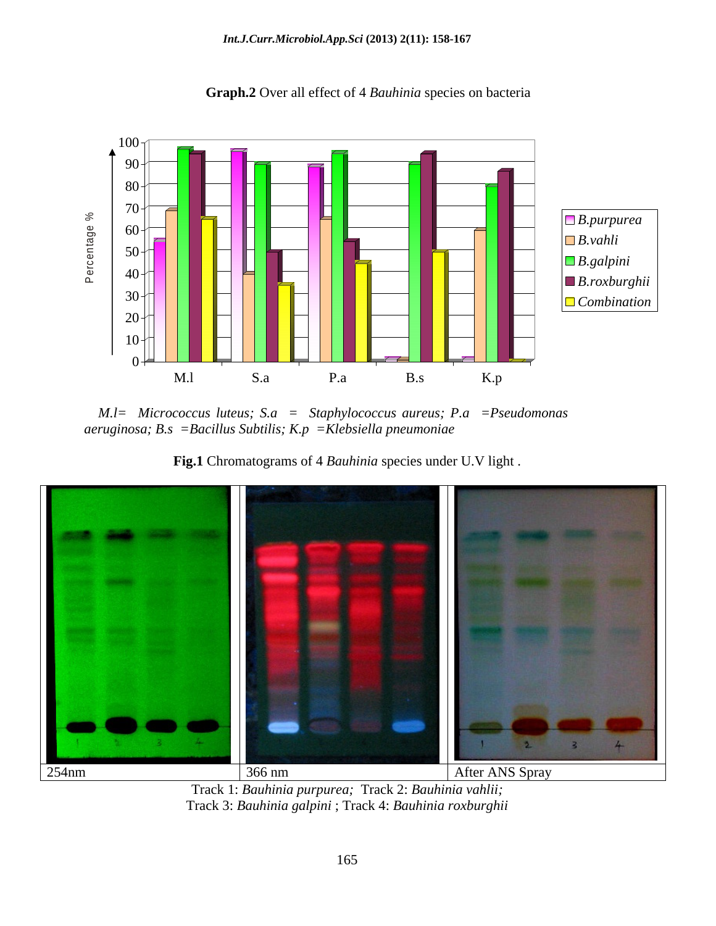

**Graph.2** Over all effect of 4 *Bauhinia* species on bacteria

 *M.l= Micrococcus luteus; S.a = Staphylococcus aureus; P.a =Pseudomonas aeruginosa; B.s =Bacillus Subtilis; K.p =Klebsiella pneumoniae*





Track 1: *Bauhinia purpurea;* Track 2: *Bauhinia vahlii;*  Track 3: *Bauhinia galpini* ; Track 4: *Bauhinia roxburghii*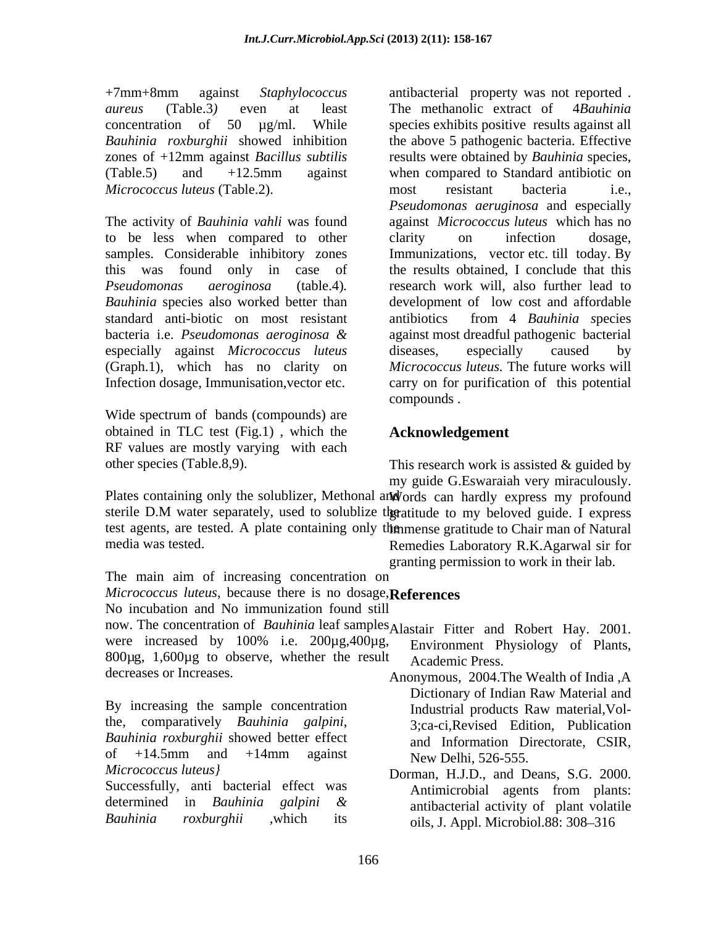*Micrococcus luteus* (Table.2).

The activity of *Bauhinia vahli* was found to be less when compared to other samples. Considerable inhibitory zones Immunizations, vector etc. till today. By this was found only in case of the results obtained, I conclude that this *Pseudomonas aeroginosa* (table.4)*.* research work will, also further lead to *Bauhinia* species also worked better than development of low cost and affordable standard anti-biotic on most resistant antibiotics from 4 Bauhinia species bacteria i.e. *Pseudomonas aeroginosa &* against most dreadful pathogenic bacterial especially against *Micrococcus luteus* (Graph.1), which has no clarity on

example of the spectrum of bands (compounds) are<br>example of the spectrum of bands (compounds) are obtained in TLC test (Fig.1) , which the RF values are mostly varying with each

+7mm+8mm against *Staphylococcus*  antibacterial property was not reported . *aureus* (Table.3*)* even at least The methanolic extract of 4*Bauhinia*  concentration of 50 µg/ml. While species exhibits positive results against all *Bauhinia roxburghii* showed inhibition the above 5 pathogenic bacteria. Effective zones of +12mm against *Bacillus subtilis* results were obtained by *Bauhinia* species, (Table.5) and +12.5mm against when compared to Standard antibiotic on Infection dosage, Immunisation,vector etc. carry on for purification of this potential most resistant bacteria i.e., *Pseudomonas aeruginosa* and especially against *Micrococcus luteus* which has no clarity on infection dosage, antibiotics from 4 *Bauhinia s*pecies diseases, especially caused by *Micrococcus luteus.* The future works will compounds .

# **Acknowledgement**

other species (Table.8,9). This research work is assisted & guided by my guide G.Eswaraiah very miraculously.

Plates containing only the solublizer, Methonal and vords can hardly express my profound sterile D.M water separately, used to solublize the ratitude to my beloved guide. I express test agents, are tested. A plate containing only the mense gratitude to Chair man of Natural media was tested. Remedies Laboratory R.K.Agarwal sir for

granting permission to work in their lab.

The main aim of increasing concentration on *Micrococcus luteus*, because there is no dosage, No incubation and No immunization found still **References**

now. The concentration of *Bauhinia* leaf samples Alastair Fitter and Robert Hay. 2001. were increased by 100% i.e. 200µg,400µg, Environment Physiology of Plants,  $800\mu$ g, 1,600 $\mu$ g to observe, whether the result decreases or Increases. Anonymous, 2004.The Wealth of India ,A Alastair Fitter and Robert Hay. 2001.<br>Environment Physiology of Plants, Academic Press.

By increasing the sample concentration Industrial products Raw material, Volthe, comparatively *Bauhinia galpini*, *Bauhinia roxburghii* showed better effect

determined in *Bauhinia galpini &*

of  $+14.5$ mm and  $+14$ mm against New Delhi 526-555 Dictionary of Indian Raw Material and Industrial products Raw material,Vol- 3;ca-ci,Revised Edition, Publication and Information Directorate, CSIR, New Delhi, 526-555.

*Micrococcus luteus}* Dorman, H.J.D., and Deans, S.G. 2000. Successfully, anti bacterial effect was Antimicrobial agents from plants: *Bauhinia roxburghii*, which its oils, J. Appl. Microbiol.88: 308–316 Antimicrobial agents from plants: antibacterial activity of plant volatile